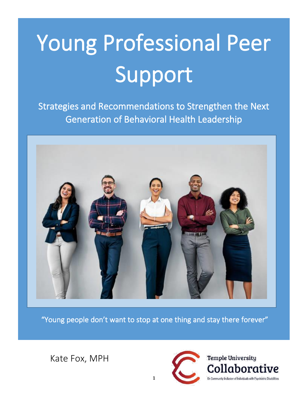# Young Professional Peer Support

Strategies and Recommendations to Strengthen the Next Generation of Behavioral Health Leadership



"Young people don't want to stop at one thing and stay there forever"

Kate Fox, MPH

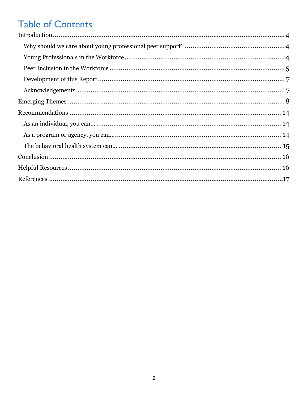## **Table of Contents**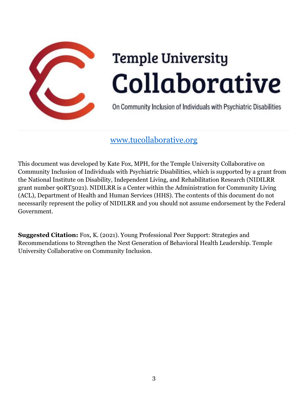

# **Temple University** Collaborative

On Community Inclusion of Individuals with Psychiatric Disabilities

## [www.tucollaborative.org](http://www.tucollaborative.org/)

This document was developed by Kate Fox, MPH, for the Temple University Collaborative on Community Inclusion of Individuals with Psychiatric Disabilities, which is supported by a grant from the National Institute on Disability, Independent Living, and Rehabilitation Research (NIDILRR grant number 90RT5021). NIDILRR is a Center within the Administration for Community Living (ACL), Department of Health and Human Services (HHS). The contents of this document do not necessarily represent the policy of NIDILRR and you should not assume endorsement by the Federal Government.

**Suggested Citation:** Fox, K. (2021). Young Professional Peer Support: Strategies and Recommendations to Strengthen the Next Generation of Behavioral Health Leadership. Temple University Collaborative on Community Inclusion.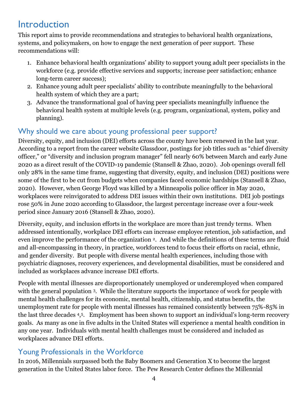## Introduction

This report aims to provide recommendations and strategies to behavioral health organizations, systems, and policymakers, on how to engage the next generation of peer support. These recommendations will:

- 1. Enhance behavioral health organizations' ability to support young adult peer specialists in the workforce (e.g. provide effective services and supports; increase peer satisfaction; enhance long-term career success);
- 2. Enhance young adult peer specialists' ability to contribute meaningfully to the behavioral health system of which they are a part;
- 3. Advance the transformational goal of having peer specialists meaningfully influence the behavioral health system at multiple levels (e.g. program, organizational, system, policy and planning).

## Why should we care about young professional peer support?

Diversity, equity, and inclusion (DEI) efforts across the county have been renewed in the last year. According to a report from the career website Glassdoor, postings for job titles such as "chief diversity officer," or "diversity and inclusion program manager" fell nearly 60% between March and early June 2020 as a direct result of the COVID-19 pandemic (Stansell & Zhao, 2020). Job openings overall fell only 28% in the same time frame, suggesting that diversity, equity, and inclusion (DEI) positions were some of the first to be cut from budgets when companies faced economic hardships (Stansell & Zhao, 2020). However, when George Floyd was killed by a Minneapolis police officer in May 2020, workplaces were reinvigorated to address DEI issues within their own institutions. DEI job postings rose 50% in June 2020 according to Glassdoor, the largest percentage increase over a four-week period since January 2016 (Stansell & Zhao, 2020).

Diversity, equity, and inclusion efforts in the workplace are more than just trendy terms. When addressed intentionally, workplace DEI efforts can increase employee retention, job satisfaction, and even improve the performance of the organization 2. And while the definitions of these terms are fluid and all-encompassing in theory, in practice, workforces tend to focus their efforts on racial, ethnic, and gender diversity. But people with diverse mental health experiences, including those with psychiatric diagnoses, recovery experiences, and developmental disabilities, must be considered and included as workplaces advance increase DEI efforts.

People with mental illnesses are disproportionately unemployed or underemployed when compared with the general population 3. While the literature supports the importance of work for people with mental health challenges for its economic, mental health, citizenship, and status benefits, the unemployment rate for people with mental illnesses has remained consistently between 75%-85% in the last three decades 4, <sup>5</sup>. Employment has been shown to support an individual's long-term recovery goals. As many as one in five adults in the United States will experience a mental health condition in any one year. Individuals with mental health challenges must be considered and included as workplaces advance DEI efforts.

## Young Professionals in the Workforce

In 2016, Millennials surpassed both the Baby Boomers and Generation X to become the largest generation in the United States labor force. The Pew Research Center defines the Millennial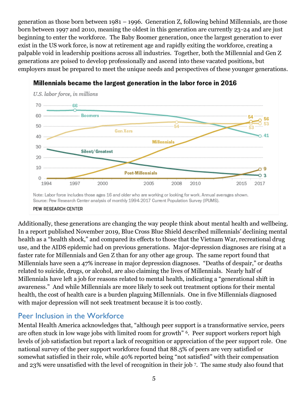generation as those born between 1981 – 1996. Generation Z, following behind Millennials, are those born between 1997 and 2010, meaning the oldest in this generation are currently 23-24 and are just beginning to enter the workforce. The Baby Boomer generation, once the largest generation to ever exist in the US work force, is now at retirement age and rapidly exiting the workforce, creating a palpable void in leadership positions across all industries. Together, both the Millennial and Gen Z generations are poised to develop professionally and ascend into these vacated positions, but employers must be prepared to meet the unique needs and perspectives of these younger generations.



#### Millennials became the largest generation in the labor force in 2016

Source: Pew Research Center analysis of monthly 1994-2017 Current Population Survey (IPUMS).

#### PEW RESEARCH CENTER

Additionally, these generations are changing the way people think about mental health and wellbeing. In a report published November 2019, Blue Cross Blue Shield described millennials' declining mental health as a "health shock," and compared its effects to those that the Vietnam War, recreational drug use, and the AIDS epidemic had on previous generations. Major-depression diagnoses are rising at a faster rate for Millennials and Gen Z than for any other age group. The same report found that Millennials have seen a 47% increase in major depression diagnoses. "Deaths of despair," or deaths related to suicide, drugs, or alcohol, are also claiming the lives of Millennials. Nearly half of Millennials have left a job for reasons related to mental health, indicating a "generational shift in awareness." And while Millennials are more likely to seek out treatment options for their mental health, the cost of health care is a burden plaguing Millennials. One in five Millennials diagnosed with major depression will not seek treatment because it is too costly.

## Peer Inclusion in the Workforce

Mental Health America acknowledges that, "although peer support is a transformative service, peers are often stuck in low wage jobs with limited room for growth" 6. Peer support workers report high levels of job satisfaction but report a lack of recognition or appreciation of the peer support role. One national survey of the peer support workforce found that 88.5% of peers are very satisfied or somewhat satisfied in their role, while 40% reported being "not satisfied" with their compensation and 23% were unsatisfied with the level of recognition in their job 7. The same study also found that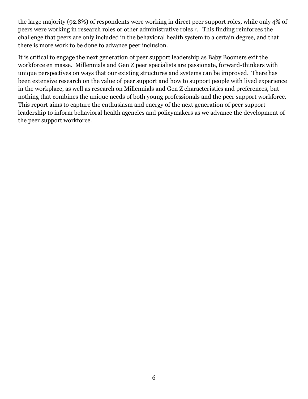the large majority (92.8%) of respondents were working in direct peer support roles, while only 4% of peers were working in research roles or other administrative roles 7. This finding reinforces the challenge that peers are only included in the behavioral health system to a certain degree, and that there is more work to be done to advance peer inclusion.

It is critical to engage the next generation of peer support leadership as Baby Boomers exit the workforce en masse. Millennials and Gen Z peer specialists are passionate, forward-thinkers with unique perspectives on ways that our existing structures and systems can be improved. There has been extensive research on the value of peer support and how to support people with lived experience in the workplace, as well as research on Millennials and Gen Z characteristics and preferences, but nothing that combines the unique needs of both young professionals and the peer support workforce. This report aims to capture the enthusiasm and energy of the next generation of peer support leadership to inform behavioral health agencies and policymakers as we advance the development of the peer support workforce.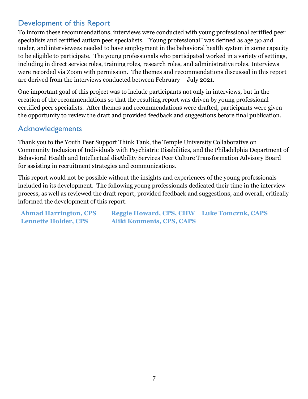## Development of this Report

To inform these recommendations, interviews were conducted with young professional certified peer specialists and certified autism peer specialists. "Young professional" was defined as age 30 and under, and interviewees needed to have employment in the behavioral health system in some capacity to be eligible to participate. The young professionals who participated worked in a variety of settings, including in direct service roles, training roles, research roles, and administrative roles. Interviews were recorded via Zoom with permission. The themes and recommendations discussed in this report are derived from the interviews conducted between February – July 2021.

One important goal of this project was to include participants not only in interviews, but in the creation of the recommendations so that the resulting report was driven by young professional certified peer specialists. After themes and recommendations were drafted, participants were given the opportunity to review the draft and provided feedback and suggestions before final publication.

## Acknowledgements

Thank you to the Youth Peer Support Think Tank, the Temple University Collaborative on Community Inclusion of Individuals with Psychiatric Disabilities, and the Philadelphia Department of Behavioral Health and Intellectual disAbility Services Peer Culture Transformation Advisory Board for assisting in recruitment strategies and communications.

This report would not be possible without the insights and experiences of the young professionals included in its development. The following young professionals dedicated their time in the interview process, as well as reviewed the draft report, provided feedback and suggestions, and overall, critically informed the development of this report.

**Ahmad Harrington, CPS Reggie Howard, CPS, CHW Luke Tomczuk, CAPS Lennette Holder, CPS Aliki Koumenis, CPS, CAPS**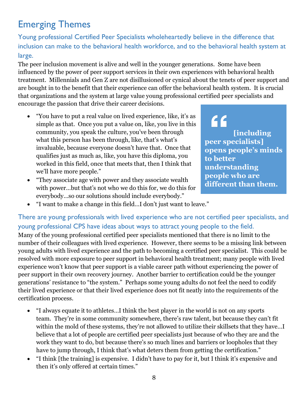## Emerging Themes

Young professional Certified Peer Specialists wholeheartedly believe in the difference that inclusion can make to the behavioral health workforce, and to the behavioral health system at large.

The peer inclusion movement is alive and well in the younger generations. Some have been influenced by the power of peer support services in their own experiences with behavioral health treatment. Millennials and Gen Z are not disillusioned or cynical about the tenets of peer support and are bought in to the benefit that their experience can offer the behavioral health system. It is crucial that organizations and the system at large value young professional certified peer specialists and encourage the passion that drive their career decisions.

- "You have to put a real value on lived experience, like, it's as simple as that. Once you put a value on, like, you live in this community, you speak the culture, you've been through what this person has been through, like, that's what's invaluable, because everyone doesn't have that. Once that qualifies just as much as, like, you have this diploma, you worked in this field, once that meets that, then I think that we'll have more people."
- "They associate age with power and they associate wealth with power…but that's not who we do this for, we do this for everybody…so our solutions should include everybody."

 $66$ **[including peer specialists] opens people's minds to better understanding people who are different than them.**

• "I want to make a change in this field…I don't just want to leave."

There are young professionals with lived experience who are not certified peer specialists, and young professional CPS have ideas about ways to attract young people to the field.

Many of the young professional certified peer specialists mentioned that there is no limit to the number of their colleagues with lived experience. However, there seems to be a missing link between young adults with lived experience and the path to becoming a certified peer specialist. This could be resolved with more exposure to peer support in behavioral health treatment; many people with lived experience won't know that peer support is a viable career path without experiencing the power of peer support in their own recovery journey. Another barrier to certification could be the younger generations' resistance to "the system." Perhaps some young adults do not feel the need to codify their lived experience or that their lived experience does not fit neatly into the requirements of the certification process.

- "I always equate it to athletes…I think the best player in the world is not on any sports team. They're in some community somewhere, there's raw talent, but because they can't fit within the mold of these systems, they're not allowed to utilize their skillsets that they have…I believe that a lot of people are certified peer specialists just because of who they are and the work they want to do, but because there's so much lines and barriers or loopholes that they have to jump through, I think that's what deters them from getting the certification."
- "I think [the training] is expensive. I didn't have to pay for it, but I think it's expensive and then it's only offered at certain times."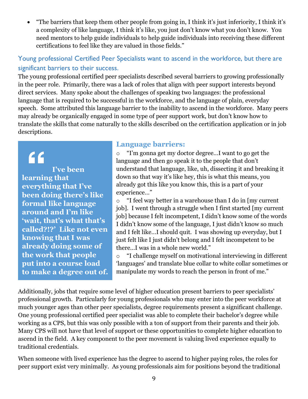• "The barriers that keep them other people from going in, I think it's just inferiority, I think it's a complexity of like language, I think it's like, you just don't know what you don't know. You need mentors to help guide individuals to help guide individuals into receiving these different certifications to feel like they are valued in those fields."

## Young professional Certified Peer Specialists want to ascend in the workforce, but there are significant barriers to their success.

The young professional certified peer specialists described several barriers to growing professionally in the peer role. Primarily, there was a lack of roles that align with peer support interests beyond direct services. Many spoke about the challenges of speaking two languages: the professional language that is required to be successful in the workforce, and the language of plain, everyday speech. Some attributed this language barrier to the inability to ascend in the workforce. Many peers may already be organically engaged in some type of peer support work, but don't know how to translate the skills that come naturally to the skills described on the certification application or in job descriptions.

## "

**I've been learning that everything that I've been doing there's like formal like language around and I'm like 'wait, that's what that's called?!?' Like not even knowing that I was already doing some of the work that people put into a course load to make a degree out of.**

## **Language barriers:**

o "I'm gonna get my doctor degree…I want to go get the language and then go speak it to the people that don't understand that language, like, uh, dissecting it and breaking it down so that way it's like hey, this is what this means, you already got this like you know this, this is a part of your experience…"

o "I feel way better in a warehouse than I do in [my current job]. I went through a struggle when I first started [my current job] because I felt incompetent, I didn't know some of the words I didn't know some of the language, I just didn't know so much and I felt like…I should quit. I was showing up everyday, but I just felt like I just didn't belong and I felt incompetent to be there…I was in a whole new world."

"I challenge myself on motivational interviewing in different 'languages' and translate blue collar to white collar sometimes or manipulate my words to reach the person in front of me."

Additionally, jobs that require some level of higher education present barriers to peer specialists' professional growth. Particularly for young professionals who may enter into the peer workforce at much younger ages than other peer specialists, degree requirements present a significant challenge. One young professional certified peer specialist was able to complete their bachelor's degree while working as a CPS, but this was only possible with a ton of support from their parents and their job. Many CPS will not have that level of support or these opportunities to complete higher education to ascend in the field. A key component to the peer movement is valuing lived experience equally to traditional credentials.

When someone with lived experience has the degree to ascend to higher paying roles, the roles for peer support exist very minimally. As young professionals aim for positions beyond the traditional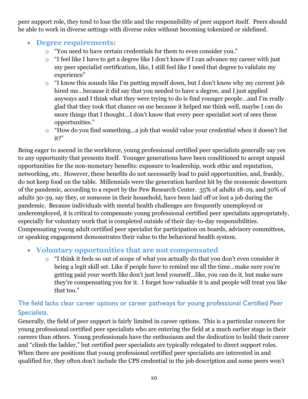peer support role, they tend to lose the title and the responsibility of peer support itself. Peers should be able to work in diverse settings with diverse roles without becoming tokenized or sidelined.

## • **Degree requirements:**

- o "You need to have certain credentials for them to even consider you."
- o "I feel like I have to get a degree like I don't know if I can advance my career with just my peer specialist certification, like, I still feel like I need that degree to validate my experience"
- o "I know this sounds like I'm putting myself down, but I don't know why my current job hired me…because it did say that you needed to have a degree, and I just applied anyways and I think what they were trying to do is find younger people…and I'm really glad that they took that chance on me because it helped me think well, maybe I can do more things that I thought…I don't know that every peer specialist sort of sees these opportunities."
- o "How do you find something…a job that would value your credential when it doesn't list it?"

Being eager to ascend in the workforce, young professional certified peer specialists generally say yes to any opportunity that presents itself. Younger generations have been conditioned to accept unpaid opportunities for the non-monetary benefits: exposure to leadership, work ethic and reputation, networking, etc. However, these benefits do not necessarily lead to paid opportunities, and, frankly, do not keep food on the table. Millennials were the generation hardest hit by the economic downturn of the pandemic, according to a report by the Pew Research Center. 35% of adults 18-29, and 30% of adults 30-39, say they, or someone in their household, have been laid off or lost a job during the pandemic. Because individuals with mental health challenges are frequently unemployed or underemployed, it is critical to compensate young professional certified peer specialists appropriately, especially for voluntary work that is completed outside of their day-to-day responsibilities. Compensating young adult certified peer specialist for participation on boards, advisory committees, or speaking engagement demonstrates their value to the behavioral health system.

## • **Voluntary opportunities that are not compensated**

o "I think it feels so out of scope of what you actually do that you don't even consider it being a legit skill set. Like if people have to remind me all the time…make sure you're getting paid your worth like don't just lend yourself…like, you can do it, but make sure they're compensating you for it. I forget how valuable it is and people will treat you like that too."

## The field lacks clear career options or career pathways for young professional Certified Peer Specialists.

Generally, the field of peer support is fairly limited in career options. This is a particular concern for young professional certified peer specialists who are entering the field at a much earlier stage in their careers than others. Young professionals have the enthusiasm and the dedication to build their career and "climb the ladder," but certified peer specialists are typically relegated to direct support roles. When there are positions that young professional certified peer specialists are interested in and qualified for, they often don't include the CPS credential in the job description and some peers won't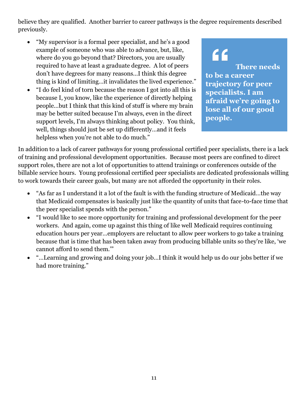believe they are qualified. Another barrier to career pathways is the degree requirements described previously.

- "My supervisor is a formal peer specialist, and he's a good example of someone who was able to advance, but, like, where do you go beyond that? Directors, you are usually required to have at least a graduate degree. A lot of peers don't have degrees for many reasons…I think this degree thing is kind of limiting…it invalidates the lived experience."
- "I do feel kind of torn because the reason I got into all this is because I, you know, like the experience of directly helping people…but I think that this kind of stuff is where my brain may be better suited because I'm always, even in the direct support levels, I'm always thinking about policy. You think, well, things should just be set up differently…and it feels helpless when you're not able to do much."

 $66$ **There needs to be a career trajectory for peer specialists. I am afraid we're going to lose all of our good people.**

In addition to a lack of career pathways for young professional certified peer specialists, there is a lack of training and professional development opportunities. Because most peers are confined to direct support roles, there are not a lot of opportunities to attend trainings or conferences outside of the billable service hours. Young professional certified peer specialists are dedicated professionals willing to work towards their career goals, but many are not afforded the opportunity in their roles.

- "As far as I understand it a lot of the fault is with the funding structure of Medicaid...the way that Medicaid compensates is basically just like the quantity of units that face-to-face time that the peer specialist spends with the person."
- "I would like to see more opportunity for training and professional development for the peer workers. And again, come up against this thing of like well Medicaid requires continuing education hours per year…employers are reluctant to allow peer workers to go take a training because that is time that has been taken away from producing billable units so they're like, 'we cannot afford to send them.'"
- "…Learning and growing and doing your job…I think it would help us do our jobs better if we had more training."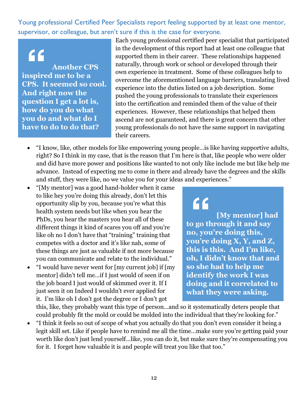Young professional Certified Peer Specialists report feeling supported by at least one mentor, supervisor, or colleague, but aren't sure if this is the case for everyone.

## "

**Another CPS inspired me to be a CPS. It seemed so cool. And right now the question I get a lot is, how do you do what you do and what do I have to do to do that?**

Each young professional certified peer specialist that participated in the development of this report had at least one colleague that supported them in their career. These relationships happened naturally, through work or school or developed through their own experience in treatment. Some of these colleagues help to overcome the aforementioned language barriers, translating lived experience into the duties listed on a job description. Some pushed the young professionals to translate their experiences into the certification and reminded them of the value of their experiences. However, these relationships that helped them ascend are not guaranteed, and there is great concern that other young professionals do not have the same support in navigating their careers.

- "I know, like, other models for like empowering young people…is like having supportive adults, right? So I think in my case, that is the reason that I'm here is that, like people who were older and did have more power and positions like wanted to not only like include me but like help me advance. Instead of expecting me to come in there and already have the degrees and the skills and stuff, they were like, no we value you for your ideas and experiences."
- "[My mentor] was a good hand-holder when it came to like hey you're doing this already, don't let this opportunity slip by you, because you're what this health system needs but like when you hear the PhDs, you hear the masters you hear all of these different things it kind of scares you off and you're like oh no I don't have that "training" training that competes with a doctor and it's like nah, some of these things are just as valuable if not more because you can communicate and relate to the individual."
- "I would have never went for [my current job] if [my mentor] didn't tell me…if I just would of seen if on the job board I just would of skimmed over it. If I just seen it on Indeed I wouldn't ever applied for it. I'm like oh I don't got the degree or I don't got

## $66$

**[My mentor] had to go through it and say no, you're doing this, you're doing X, Y, and Z, this is this. And I'm like, oh, I didn't know that and so she had to help me identify the work I was doing and it correlated to what they were asking.**

this, like, they probably want this type of person…and so it systematically deters people that could probably fit the mold or could be molded into the individual that they're looking for."

• "I think it feels so out of scope of what you actually do that you don't even consider it being a legit skill set. Like if people have to remind me all the time…make sure you're getting paid your worth like don't just lend yourself…like, you can do it, but make sure they're compensating you for it. I forget how valuable it is and people will treat you like that too."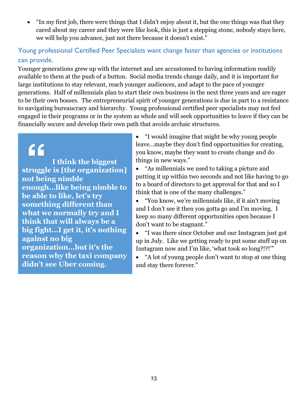• "In my first job, there were things that I didn't enjoy about it, but the one things was that they cared about my career and they were like look, this is just a stepping stone, nobody stays here, we will help you advance, just not there because it doesn't exist."

## Young professional Certified Peer Specialists want change faster than agencies or institutions can provide.

Younger generations grew up with the internet and are accustomed to having information readily available to them at the push of a button. Social media trends change daily, and it is important for large institutions to stay relevant, reach younger audiences, and adapt to the pace of younger generations. Half of millennials plan to start their own business in the next three years and are eager to be their own bosses. The entrepreneurial spirit of younger generations is due in part to a resistance to navigating bureaucracy and hierarchy. Young professional certified peer specialists may not feel engaged in their programs or in the system as whole and will seek opportunities to leave if they can be financially secure and develop their own path that avoids archaic structures.

## "

**I think the biggest struggle is [the organization] not being nimble enough…like being nimble to be able to like, let's try something different than what we normally try and I think that will always be a big fight…I get it, it's nothing against no big organization…but it's the reason why the taxi company didn't see Uber coming.**

• "I would imagine that might be why young people leave…maybe they don't find opportunities for creating, you know, maybe they want to create change and do things in new ways."

• "As millennials we used to taking a picture and putting it up within two seconds and not like having to go to a board of directors to get approval for that and so I think that is one of the many challenges."

• "You know, we're millennials like, if it ain't moving and I don't see it then you gotta go and I'm moving. I keep so many different opportunities open because I don't want to be stagnant."

• "I was there since October and our Instagram just got up in July. Like we getting ready to put some stuff up on Instagram now and I'm like, 'what took so long?!?!'"

• "A lot of young people don't want to stop at one thing and stay there forever."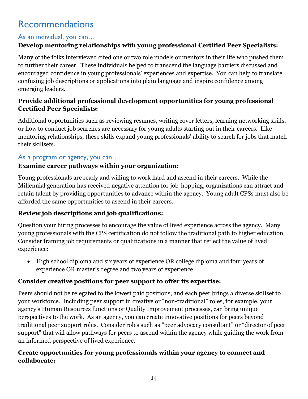## Recommendations

## As an individual, you can…

## **Develop mentoring relationships with young professional Certified Peer Specialists:**

Many of the folks interviewed cited one or two role models or mentors in their life who pushed them to further their career. These individuals helped to transcend the language barriers discussed and encouraged confidence in young professionals' experiences and expertise. You can help to translate confusing job descriptions or applications into plain language and inspire confidence among emerging leaders.

### **Provide additional professional development opportunities for young professional Certified Peer Specialists:**

Additional opportunities such as reviewing resumes, writing cover letters, learning networking skills, or how to conduct job searches are necessary for young adults starting out in their careers. Like mentoring relationships, these skills expand young professionals' ability to search for jobs that match their skillsets.

## As a program or agency, you can…

## **Examine career pathways within your organization:**

Young professionals are ready and willing to work hard and ascend in their careers. While the Millennial generation has received negative attention for job-hopping, organizations can attract and retain talent by providing opportunities to advance within the agency. Young adult CPSs must also be afforded the same opportunities to ascend in their careers.

## **Review job descriptions and job qualifications:**

Question your hiring processes to encourage the value of lived experience across the agency. Many young professionals with the CPS certification do not follow the traditional path to higher education. Consider framing job requirements or qualifications in a manner that reflect the value of lived experience:

• High school diploma and six years of experience OR college diploma and four years of experience OR master's degree and two years of experience.

## **Consider creative positions for peer support to offer its expertise:**

Peers should not be relegated to the lowest paid positions, and each peer brings a diverse skillset to your workforce. Including peer support in creative or "non-traditional" roles, for example, your agency's Human Resources functions or Quality Improvement processes, can bring unique perspectives to the work. As an agency, you can create innovative positions for peers beyond traditional peer support roles. Consider roles such as "peer advocacy consultant" or "director of peer support" that will allow pathways for peers to ascend within the agency while guiding the work from an informed perspective of lived experience.

## **Create opportunities for young professionals within your agency to connect and collaborate:**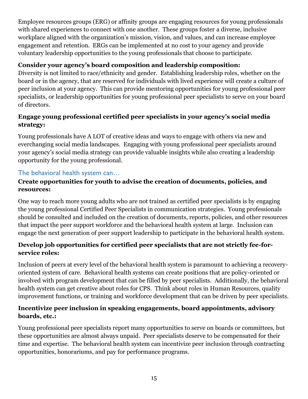Employee resources groups (ERG) or affinity groups are engaging resources for young professionals with shared experiences to connect with one another. These groups foster a diverse, inclusive workplace aligned with the organization's mission, vision, and values, and can increase employee engagement and retention. ERGs can be implemented at no cost to your agency and provide voluntary leadership opportunities to the young professionals that choose to participate.

#### **Consider your agency's board composition and leadership composition:**

Diversity is not limited to race/ethnicity and gender. Establishing leadership roles, whether on the board or in the agency, that are reserved for individuals with lived experience will create a culture of peer inclusion at your agency. This can provide mentoring opportunities for young professional peer specialists, or leadership opportunities for young professional peer specialists to serve on your board of directors.

### **Engage young professional certified peer specialists in your agency's social media strategy:**

Young professionals have A LOT of creative ideas and ways to engage with others via new and everchanging social media landscapes. Engaging with young professional peer specialists around your agency's social media strategy can provide valuable insights while also creating a leadership opportunity for the young professional.

## The behavioral health system can…

#### **Create opportunities for youth to advise the creation of documents, policies, and resources:**

One way to reach more young adults who are not trained as certified peer specialists is by engaging the young professional Certified Peer Specialists in communication strategies. Young professionals should be consulted and included on the creation of documents, reports, policies, and other resources that impact the peer support workforce and the behavioral health system at large. Inclusion can engage the next generation of peer support leadership to participate in the behavioral health system.

#### **Develop job opportunities for certified peer specialists that are not strictly fee-forservice roles:**

Inclusion of peers at every level of the behavioral health system is paramount to achieving a recoveryoriented system of care. Behavioral health systems can create positions that are policy-oriented or involved with program development that can be filled by peer specialists. Additionally, the behavioral health system can get creative about roles for CPS. Think about roles in Human Resources, quality improvement functions, or training and workforce development that can be driven by peer specialists.

## **Incentivize peer inclusion in speaking engagements, board appointments, advisory boards, etc.:**

Young professional peer specialists report many opportunities to serve on boards or committees, but these opportunities are almost always unpaid. Peer specialists deserve to be compensated for their time and expertise. The behavioral health system can incentivize peer inclusion through contracting opportunities, honorariums, and pay for performance programs.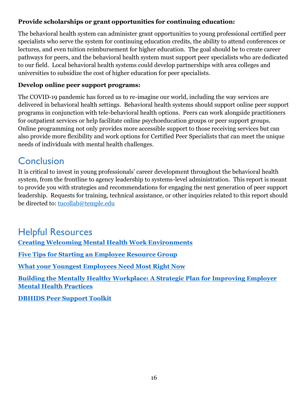## **Provide scholarships or grant opportunities for continuing education:**

The behavioral health system can administer grant opportunities to young professional certified peer specialists who serve the system for continuing education credits, the ability to attend conferences or lectures, and even tuition reimbursement for higher education. The goal should be to create career pathways for peers, and the behavioral health system must support peer specialists who are dedicated to our field. Local behavioral health systems could develop partnerships with area colleges and universities to subsidize the cost of higher education for peer specialists.

#### **Develop online peer support programs:**

The COVID-19 pandemic has forced us to re-imagine our world, including the way services are delivered in behavioral health settings. Behavioral health systems should support online peer support programs in conjunction with tele-behavioral health options. Peers can work alongside practitioners for outpatient services or help facilitate online psychoeducation groups or peer support groups. Online programming not only provides more accessible support to those receiving services but can also provide more flexibility and work options for Certified Peer Specialists that can meet the unique needs of individuals with mental health challenges.

## **Conclusion**

It is critical to invest in young professionals' career development throughout the behavioral health system, from the frontline to agency leadership to systems-level administration. This report is meant to provide you with strategies and recommendations for engaging the next generation of peer support leadership. Requests for training, technical assistance, or other inquiries related to this report should be directed to: [tucollab@temple.edu](mailto:tucollab@temple.edu)

## Helpful Resources

**[Creating Welcoming Mental Health Work Environments](http://tucollaborative.org/wp-content/uploads/2017/03/Creating-Welcoming-Mental-Health-Work-Environments.pdf)**

**[Five Tips for Starting an Employee Resource Group](https://coachdiversity.com/blog/five-tips-for-starting-an-employee-resource-group/)**

**[What your Youngest Employees Need Most Right Now](https://hbr.org/2020/06/what-your-youngest-employees-need-most-right-now)**

**[Building the Mentally Healthy Workplace: A Strategic Plan for Improving Employer](http://www.mhawisconsin.org/Data/Sites/1/media/documents/2018-documents/workplace-strategic-plan-2012.pdf)  [Mental Health Practices](http://www.mhawisconsin.org/Data/Sites/1/media/documents/2018-documents/workplace-strategic-plan-2012.pdf)**

**[DBHIDS Peer Support Toolkit](https://dbhids.org/wp-content/uploads/1970/01/PCCI_Peer-Support-Toolkit.pdf)**